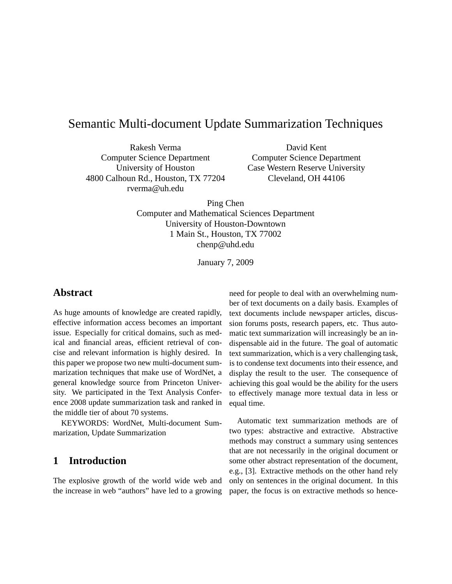# Semantic Multi-document Update Summarization Techniques

Rakesh Verma Computer Science Department University of Houston 4800 Calhoun Rd., Houston, TX 77204 rverma@uh.edu

David Kent Computer Science Department Case Western Reserve University Cleveland, OH 44106

Ping Chen Computer and Mathematical Sciences Department University of Houston-Downtown 1 Main St., Houston, TX 77002 chenp@uhd.edu

January 7, 2009

#### **Abstract**

As huge amounts of knowledge are created rapidly, effective information access becomes an important issue. Especially for critical domains, such as medical and financial areas, efficient retrieval of concise and relevant information is highly desired. In this paper we propose two new multi-document summarization techniques that make use of WordNet, a general knowledge source from Princeton University. We participated in the Text Analysis Conference 2008 update summarization task and ranked in the middle tier of about 70 systems.

KEYWORDS: WordNet, Multi-document Summarization, Update Summarization

## **1 Introduction**

The explosive growth of the world wide web and the increase in web "authors" have led to a growing need for people to deal with an overwhelming number of text documents on a daily basis. Examples of text documents include newspaper articles, discussion forums posts, research papers, etc. Thus automatic text summarization will increasingly be an indispensable aid in the future. The goal of automatic text summarization, which is a very challenging task, is to condense text documents into their essence, and display the result to the user. The consequence of achieving this goal would be the ability for the users to effectively manage more textual data in less or equal time.

Automatic text summarization methods are of two types: abstractive and extractive. Abstractive methods may construct a summary using sentences that are not necessarily in the original document or some other abstract representation of the document, e.g., [3]. Extractive methods on the other hand rely only on sentences in the original document. In this paper, the focus is on extractive methods so hence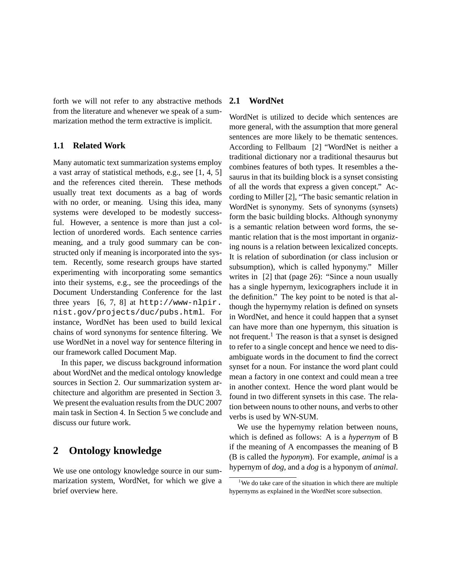forth we will not refer to any abstractive methods from the literature and whenever we speak of a summarization method the term extractive is implicit.

### **1.1 Related Work**

Many automatic text summarization systems employ a vast array of statistical methods, e.g., see [1, 4, 5] and the references cited therein. These methods usually treat text documents as a bag of words with no order, or meaning. Using this idea, many systems were developed to be modestly successful. However, a sentence is more than just a collection of unordered words. Each sentence carries meaning, and a truly good summary can be constructed only if meaning is incorporated into the system. Recently, some research groups have started experimenting with incorporating some semantics into their systems, e.g., see the proceedings of the Document Understanding Conference for the last three years  $[6, 7, 8]$  at http://www-nlpir. nist.gov/projects/duc/pubs.html. For instance, WordNet has been used to build lexical chains of word synonyms for sentence filtering. We use WordNet in a novel way for sentence filtering in our framework called Document Map.

In this paper, we discuss background information about WordNet and the medical ontology knowledge sources in Section 2. Our summarization system architecture and algorithm are presented in Section 3. We present the evaluation results from the DUC 2007 main task in Section 4. In Section 5 we conclude and discuss our future work.

## **2 Ontology knowledge**

We use one ontology knowledge source in our summarization system, WordNet, for which we give a brief overview here.

### **2.1 WordNet**

WordNet is utilized to decide which sentences are more general, with the assumption that more general sentences are more likely to be thematic sentences. According to Fellbaum [2] "WordNet is neither a traditional dictionary nor a traditional thesaurus but combines features of both types. It resembles a thesaurus in that its building block is a synset consisting of all the words that express a given concept." According to Miller [2], "The basic semantic relation in WordNet is synonymy. Sets of synonyms (synsets) form the basic building blocks. Although synonymy is a semantic relation between word forms, the semantic relation that is the most important in organizing nouns is a relation between lexicalized concepts. It is relation of subordination (or class inclusion or subsumption), which is called hyponymy." Miller writes in [2] that (page 26): "Since a noun usually has a single hypernym, lexicographers include it in the definition." The key point to be noted is that although the hypernymy relation is defined on synsets in WordNet, and hence it could happen that a synset can have more than one hypernym, this situation is not frequent.<sup>1</sup> The reason is that a synset is designed to refer to a single concept and hence we need to disambiguate words in the document to find the correct synset for a noun. For instance the word plant could mean a factory in one context and could mean a tree in another context. Hence the word plant would be found in two different synsets in this case. The relation between nouns to other nouns, and verbs to other verbs is used by WN-SUM.

We use the hypernymy relation between nouns, which is defined as follows: A is a *hypernym* of B if the meaning of A encompasses the meaning of B (B is called the *hyponym*). For example, *animal* is a hypernym of *dog*, and a *dog* is a hyponym of *animal*.

<sup>&</sup>lt;sup>1</sup>We do take care of the situation in which there are multiple hypernyms as explained in the WordNet score subsection.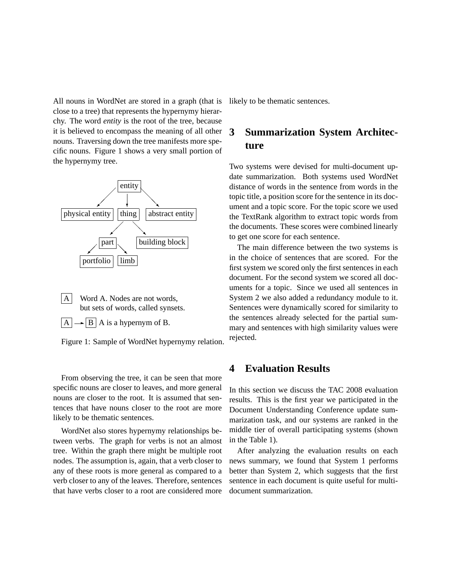All nouns in WordNet are stored in a graph (that is close to a tree) that represents the hypernymy hierarchy. The word *entity* is the root of the tree, because it is believed to encompass the meaning of all other nouns. Traversing down the tree manifests more specific nouns. Figure 1 shows a very small portion of the hypernymy tree.



A Word A. Nodes are not words, but sets of words, called synsets.  $|A| \rightarrow |B| A$  is a hypernym of B.

Figure 1: Sample of WordNet hypernymy relation.

From observing the tree, it can be seen that more specific nouns are closer to leaves, and more general nouns are closer to the root. It is assumed that sentences that have nouns closer to the root are more likely to be thematic sentences.

WordNet also stores hypernymy relationships between verbs. The graph for verbs is not an almost tree. Within the graph there might be multiple root nodes. The assumption is, again, that a verb closer to any of these roots is more general as compared to a verb closer to any of the leaves. Therefore, sentences that have verbs closer to a root are considered more likely to be thematic sentences.

# **3 Summarization System Architecture**

Two systems were devised for multi-document update summarization. Both systems used WordNet distance of words in the sentence from words in the topic title, a position score for the sentence in its document and a topic score. For the topic score we used the TextRank algorithm to extract topic words from the documents. These scores were combined linearly to get one score for each sentence.

The main difference between the two systems is in the choice of sentences that are scored. For the first system we scored only the first sentences in each document. For the second system we scored all documents for a topic. Since we used all sentences in System 2 we also added a redundancy module to it. Sentences were dynamically scored for similarity to the sentences already selected for the partial summary and sentences with high similarity values were rejected.

## **4 Evaluation Results**

In this section we discuss the TAC 2008 evaluation results. This is the first year we participated in the Document Understanding Conference update summarization task, and our systems are ranked in the middle tier of overall participating systems (shown in the Table 1).

After analyzing the evaluation results on each news summary, we found that System 1 performs better than System 2, which suggests that the first sentence in each document is quite useful for multidocument summarization.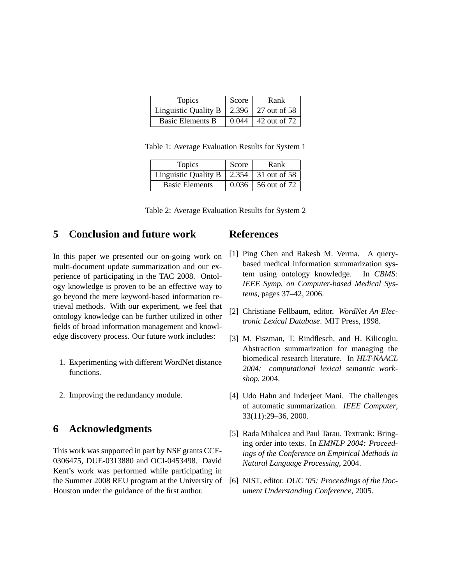| <b>Topics</b>           | Score | Rank                 |
|-------------------------|-------|----------------------|
| Linguistic Quality B    |       | 2.396   27 out of 58 |
| <b>Basic Elements B</b> | 0.044 | 42 out of 72         |

Table 1: Average Evaluation Results for System 1

| <b>Topics</b>         | Score | Rank         |
|-----------------------|-------|--------------|
| Linguistic Quality B  | 2.354 | 31 out of 58 |
| <b>Basic Elements</b> | 0.036 | 56 out of 72 |

Table 2: Average Evaluation Results for System 2

## **5 Conclusion and future work**

In this paper we presented our on-going work on multi-document update summarization and our experience of participating in the TAC 2008. Ontology knowledge is proven to be an effective way to go beyond the mere keyword-based information retrieval methods. With our experiment, we feel that ontology knowledge can be further utilized in other fields of broad information management and knowledge discovery process. Our future work includes:

- 1. Experimenting with different WordNet distance functions.
- 2. Improving the redundancy module.

## **6 Acknowledgments**

This work was supported in part by NSF grants CCF-0306475, DUE-0313880 and OCI-0453498. David Kent's work was performed while participating in the Summer 2008 REU program at the University of Houston under the guidance of the first author.

### **References**

- [1] Ping Chen and Rakesh M. Verma. A querybased medical information summarization system using ontology knowledge. In *CBMS: IEEE Symp. on Computer-based Medical Systems*, pages 37–42, 2006.
- [2] Christiane Fellbaum, editor. *WordNet An Electronic Lexical Database*. MIT Press, 1998.
- [3] M. Fiszman, T. Rindflesch, and H. Kilicoglu. Abstraction summarization for managing the biomedical research literature. In *HLT-NAACL 2004: computational lexical semantic workshop*, 2004.
- [4] Udo Hahn and Inderjeet Mani. The challenges of automatic summarization. *IEEE Computer*, 33(11):29–36, 2000.
- [5] Rada Mihalcea and Paul Tarau. Textrank: Bringing order into texts. In *EMNLP 2004: Proceedings of the Conference on Empirical Methods in Natural Language Processing*, 2004.
- [6] NIST, editor. *DUC '05: Proceedings of the Document Understanding Conference*, 2005.